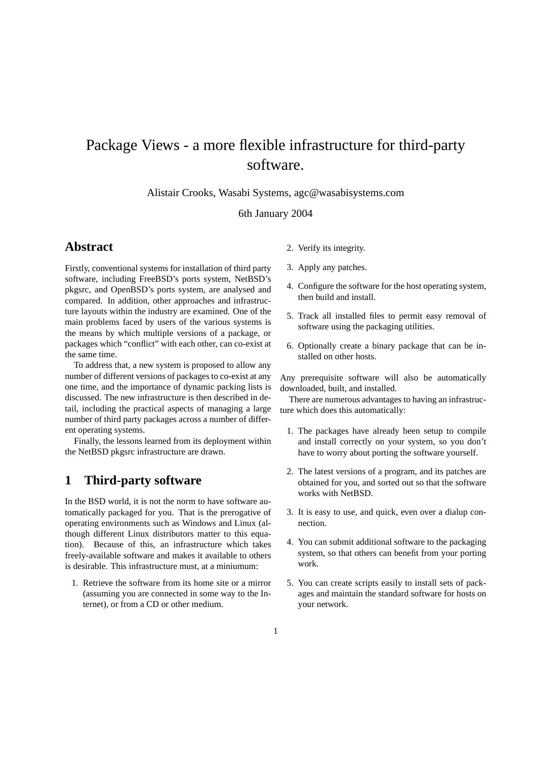# Package Views - a more flexible infrastructure for third-party software.

Alistair Crooks, Wasabi Systems, agc@wasabisystems.com

### 6th January 2004

### **Abstract**

Firstly, conventional systems for installation of third party software, including FreeBSD's ports system, NetBSD's pkgsrc, and OpenBSD's ports system, are analysed and compared. In addition, other approaches and infrastructure layouts within the industry are examined. One of the main problems faced by users of the various systems is the means by which multiple versions of a package, or packages which "conflict" with each other, can co-exist at the same time.

To address that, a new system is proposed to allow any number of different versions of packages to co-exist at any one time, and the importance of dynamic packing lists is discussed. The new infrastructure is then described in detail, including the practical aspects of managing a large number of third party packages across a number of different operating systems.

Finally, the lessons learned from its deployment within the NetBSD pkgsrc infrastructure are drawn.

# **1 Third-party software**

In the BSD world, it is not the norm to have software automatically packaged for you. That is the prerogative of operating environments such as Windows and Linux (although different Linux distributors matter to this equation). Because of this, an infrastructure which takes freely-available software and makes it available to others is desirable. This infrastructure must, at a miniumum:

1. Retrieve the software from its home site or a mirror (assuming you are connected in some way to the Internet), or from a CD or other medium.

- 2. Verify its integrity.
- 3. Apply any patches.
- 4. Configure the software for the host operating system, then build and install.
- 5. Track all installed files to permit easy removal of software using the packaging utilities.
- 6. Optionally create a binary package that can be installed on other hosts.

Any prerequisite software will also be automatically downloaded, built, and installed.

There are numerous advantages to having an infrastructure which does this automatically:

- 1. The packages have already been setup to compile and install correctly on your system, so you don't have to worry about porting the software yourself.
- 2. The latest versions of a program, and its patches are obtained for you, and sorted out so that the software works with NetBSD.
- 3. It is easy to use, and quick, even over a dialup connection.
- 4. You can submit additional software to the packaging system, so that others can benefit from your porting work.
- 5. You can create scripts easily to install sets of packages and maintain the standard software for hosts on your network.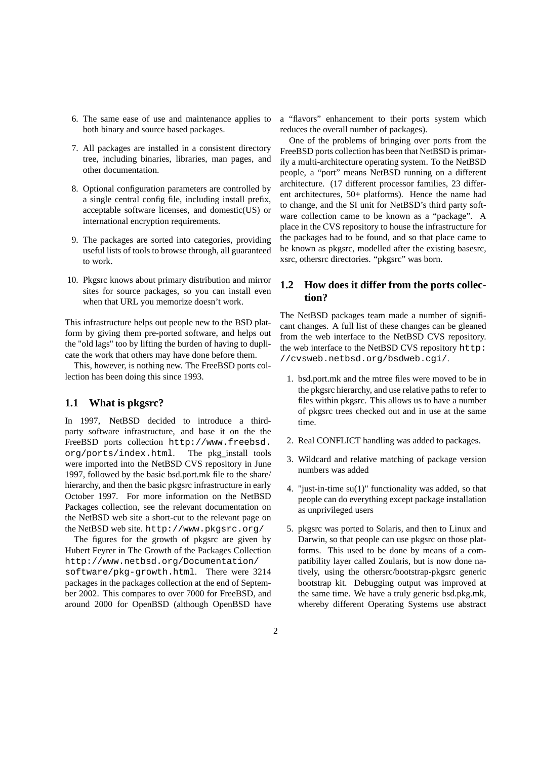- 6. The same ease of use and maintenance applies to both binary and source based packages.
- 7. All packages are installed in a consistent directory tree, including binaries, libraries, man pages, and other documentation.
- 8. Optional configuration parameters are controlled by a single central config file, including install prefix, acceptable software licenses, and domestic(US) or international encryption requirements.
- 9. The packages are sorted into categories, providing useful lists of tools to browse through, all guaranteed to work.
- 10. Pkgsrc knows about primary distribution and mirror sites for source packages, so you can install even when that URL you memorize doesn't work.

This infrastructure helps out people new to the BSD platform by giving them pre-ported software, and helps out the "old lags" too by lifting the burden of having to duplicate the work that others may have done before them.

This, however, is nothing new. The FreeBSD ports collection has been doing this since 1993.

### **1.1 What is pkgsrc?**

In 1997, NetBSD decided to introduce a thirdparty software infrastructure, and base it on the the FreeBSD ports collection http://www.freebsd. org/ports/index.html. The pkg\_install tools were imported into the NetBSD CVS repository in June 1997, followed by the basic bsd.port.mk file to the share/ hierarchy, and then the basic pkgsrc infrastructure in early October 1997. For more information on the NetBSD Packages collection, see the relevant documentation on the NetBSD web site a short-cut to the relevant page on the NetBSD web site. http://www.pkgsrc.org/

The figures for the growth of pkgsrc are given by Hubert Feyrer in The Growth of the Packages Collection http://www.netbsd.org/Documentation/ software/pkg-growth.html. There were 3214 packages in the packages collection at the end of September 2002. This compares to over 7000 for FreeBSD, and around 2000 for OpenBSD (although OpenBSD have a "flavors" enhancement to their ports system which reduces the overall number of packages).

One of the problems of bringing over ports from the FreeBSD ports collection has been that NetBSD is primarily a multi-architecture operating system. To the NetBSD people, a "port" means NetBSD running on a different architecture. (17 different processor families, 23 different architectures, 50+ platforms). Hence the name had to change, and the SI unit for NetBSD's third party software collection came to be known as a "package". A place in the CVS repository to house the infrastructure for the packages had to be found, and so that place came to be known as pkgsrc, modelled after the existing basesrc, xsrc, othersrc directories. "pkgsrc" was born.

### **1.2 How does it differ from the ports collection?**

The NetBSD packages team made a number of significant changes. A full list of these changes can be gleaned from the web interface to the NetBSD CVS repository. the web interface to the NetBSD CVS repository http: //cvsweb.netbsd.org/bsdweb.cgi/.

- 1. bsd.port.mk and the mtree files were moved to be in the pkgsrc hierarchy, and use relative paths to refer to files within pkgsrc. This allows us to have a number of pkgsrc trees checked out and in use at the same time.
- 2. Real CONFLICT handling was added to packages.
- 3. Wildcard and relative matching of package version numbers was added
- 4. "just-in-time su(1)" functionality was added, so that people can do everything except package installation as unprivileged users
- 5. pkgsrc was ported to Solaris, and then to Linux and Darwin, so that people can use pkgsrc on those platforms. This used to be done by means of a compatibility layer called Zoularis, but is now done natively, using the othersrc/bootstrap-pkgsrc generic bootstrap kit. Debugging output was improved at the same time. We have a truly generic bsd.pkg.mk, whereby different Operating Systems use abstract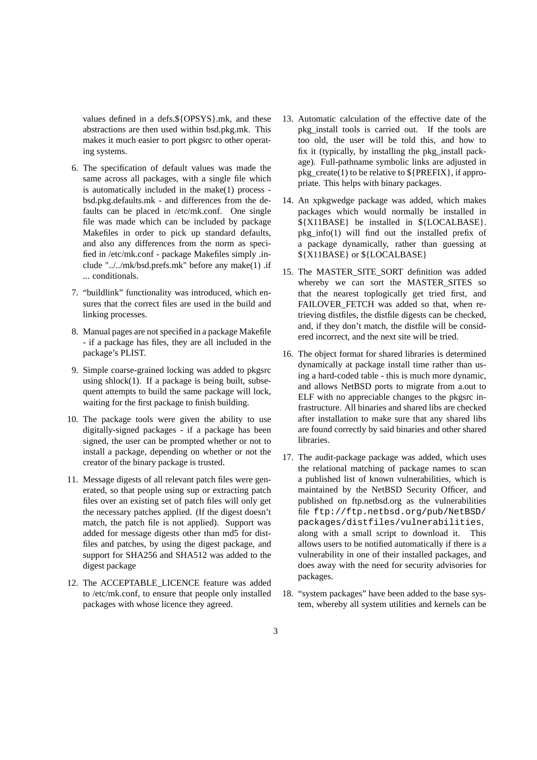values defined in a defs.\${OPSYS}.mk, and these abstractions are then used within bsd.pkg.mk. This makes it much easier to port pkgsrc to other operating systems.

- 6. The specification of default values was made the same across all packages, with a single file which is automatically included in the make(1) process bsd.pkg.defaults.mk - and differences from the defaults can be placed in /etc/mk.conf. One single file was made which can be included by package Makefiles in order to pick up standard defaults, and also any differences from the norm as specified in /etc/mk.conf - package Makefiles simply .include "../../mk/bsd.prefs.mk" before any make(1) .if ... conditionals.
- 7. "buildlink" functionality was introduced, which ensures that the correct files are used in the build and linking processes.
- 8. Manual pages are not specified in a package Makefile - if a package has files, they are all included in the package's PLIST.
- 9. Simple coarse-grained locking was added to pkgsrc using shlock $(1)$ . If a package is being built, subsequent attempts to build the same package will lock, waiting for the first package to finish building.
- 10. The package tools were given the ability to use digitally-signed packages - if a package has been signed, the user can be prompted whether or not to install a package, depending on whether or not the creator of the binary package is trusted.
- 11. Message digests of all relevant patch files were generated, so that people using sup or extracting patch files over an existing set of patch files will only get the necessary patches applied. (If the digest doesn't match, the patch file is not applied). Support was added for message digests other than md5 for distfiles and patches, by using the digest package, and support for SHA256 and SHA512 was added to the digest package
- 12. The ACCEPTABLE\_LICENCE feature was added to /etc/mk.conf, to ensure that people only installed packages with whose licence they agreed.
- 13. Automatic calculation of the effective date of the pkg\_install tools is carried out. If the tools are too old, the user will be told this, and how to fix it (typically, by installing the pkg\_install package). Full-pathname symbolic links are adjusted in pkg\_create(1) to be relative to \${PREFIX}, if appropriate. This helps with binary packages.
- 14. An xpkgwedge package was added, which makes packages which would normally be installed in \${X11BASE} be installed in \${LOCALBASE}. pkg info(1) will find out the installed prefix of a package dynamically, rather than guessing at \${X11BASE} or \${LOCALBASE}
- 15. The MASTER\_SITE\_SORT definition was added whereby we can sort the MASTER SITES so that the nearest toplogically get tried first, and FAILOVER FETCH was added so that, when retrieving distfiles, the distfile digests can be checked, and, if they don't match, the distfile will be considered incorrect, and the next site will be tried.
- 16. The object format for shared libraries is determined dynamically at package install time rather than using a hard-coded table - this is much more dynamic, and allows NetBSD ports to migrate from a.out to ELF with no appreciable changes to the pkgsrc infrastructure. All binaries and shared libs are checked after installation to make sure that any shared libs are found correctly by said binaries and other shared libraries.
- 17. The audit-package package was added, which uses the relational matching of package names to scan a published list of known vulnerabilities, which is maintained by the NetBSD Security Officer, and published on ftp.netbsd.org as the vulnerabilities file ftp://ftp.netbsd.org/pub/NetBSD/ packages/distfiles/vulnerabilities, along with a small script to download it. This allows users to be notified automatically if there is a vulnerability in one of their installed packages, and does away with the need for security advisories for packages.
- 18. "system packages" have been added to the base system, whereby all system utilities and kernels can be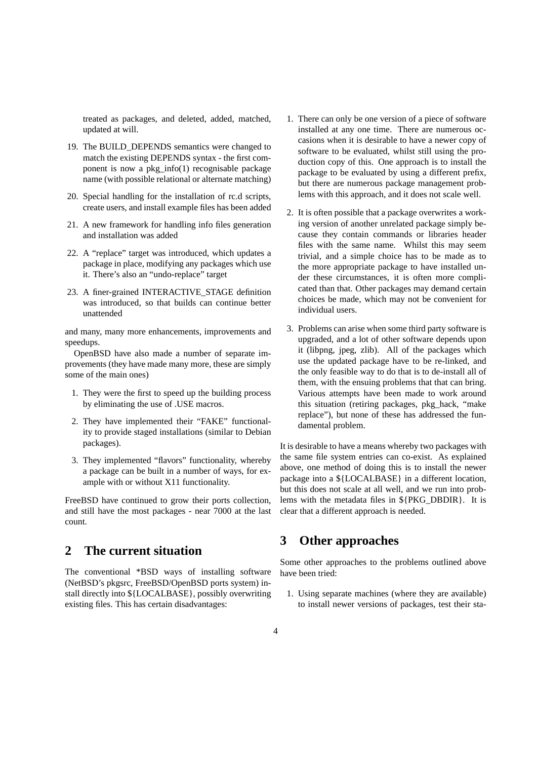treated as packages, and deleted, added, matched, updated at will.

- 19. The BUILD\_DEPENDS semantics were changed to match the existing DEPENDS syntax - the first component is now a pkg info(1) recognisable package name (with possible relational or alternate matching)
- 20. Special handling for the installation of rc.d scripts, create users, and install example files has been added
- 21. A new framework for handling info files generation and installation was added
- 22. A "replace" target was introduced, which updates a package in place, modifying any packages which use it. There's also an "undo-replace" target
- 23. A finer-grained INTERACTIVE\_STAGE definition was introduced, so that builds can continue better unattended

and many, many more enhancements, improvements and speedups.

OpenBSD have also made a number of separate improvements (they have made many more, these are simply some of the main ones)

- 1. They were the first to speed up the building process by eliminating the use of .USE macros.
- 2. They have implemented their "FAKE" functionality to provide staged installations (similar to Debian packages).
- 3. They implemented "flavors" functionality, whereby a package can be built in a number of ways, for example with or without X11 functionality.

FreeBSD have continued to grow their ports collection, and still have the most packages - near 7000 at the last count.

# **2 The current situation**

The conventional \*BSD ways of installing software (NetBSD's pkgsrc, FreeBSD/OpenBSD ports system) install directly into \${LOCALBASE}, possibly overwriting existing files. This has certain disadvantages:

- 1. There can only be one version of a piece of software installed at any one time. There are numerous occasions when it is desirable to have a newer copy of software to be evaluated, whilst still using the production copy of this. One approach is to install the package to be evaluated by using a different prefix, but there are numerous package management problems with this approach, and it does not scale well.
- 2. It is often possible that a package overwrites a working version of another unrelated package simply because they contain commands or libraries header files with the same name. Whilst this may seem trivial, and a simple choice has to be made as to the more appropriate package to have installed under these circumstances, it is often more complicated than that. Other packages may demand certain choices be made, which may not be convenient for individual users.
- 3. Problems can arise when some third party software is upgraded, and a lot of other software depends upon it (libpng, jpeg, zlib). All of the packages which use the updated package have to be re-linked, and the only feasible way to do that is to de-install all of them, with the ensuing problems that that can bring. Various attempts have been made to work around this situation (retiring packages, pkg\_hack, "make replace"), but none of these has addressed the fundamental problem.

It is desirable to have a means whereby two packages with the same file system entries can co-exist. As explained above, one method of doing this is to install the newer package into a \${LOCALBASE} in a different location, but this does not scale at all well, and we run into problems with the metadata files in \${PKG\_DBDIR}. It is clear that a different approach is needed.

### **3 Other approaches**

Some other approaches to the problems outlined above have been tried:

1. Using separate machines (where they are available) to install newer versions of packages, test their sta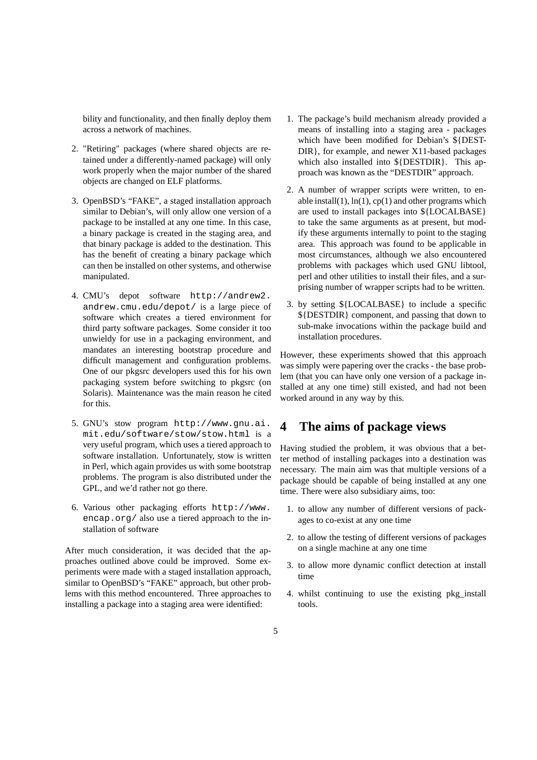bility and functionality, and then finally deploy them across a network of machines.

- 2. "Retiring" packages (where shared objects are retained under a differently-named package) will only work properly when the major number of the shared objects are changed on ELF platforms.
- 3. OpenBSD's "FAKE", a staged installation approach similar to Debian's, will only allow one version of a package to be installed at any one time. In this case, a binary package is created in the staging area, and that binary package is added to the destination. This has the benefit of creating a binary package which can then be installed on other systems, and otherwise manipulated.
- 4. CMU's depot software http://andrew2. andrew.cmu.edu/depot/ is a large piece of software which creates a tiered environment for third party software packages. Some consider it too unwieldy for use in a packaging environment, and mandates an interesting bootstrap procedure and difficult management and configuration problems. One of our pkgsrc developers used this for his own packaging system before switching to pkgsrc (on Solaris). Maintenance was the main reason he cited for this.
- 5. GNU's stow program http://www.gnu.ai. mit.edu/software/stow/stow.html is a very useful program, which uses a tiered approach to software installation. Unfortunately, stow is written in Perl, which again provides us with some bootstrap problems. The program is also distributed under the GPL, and we'd rather not go there.
- 6. Various other packaging efforts http://www. encap.org/ also use a tiered approach to the installation of software

After much consideration, it was decided that the approaches outlined above could be improved. Some experiments were made with a staged installation approach, similar to OpenBSD's "FAKE" approach, but other problems with this method encountered. Three approaches to installing a package into a staging area were identified:

- 1. The package's build mechanism already provided a means of installing into a staging area - packages which have been modified for Debian's \${DEST-DIR}, for example, and newer X11-based packages which also installed into  $\S$ {DESTDIR}. This approach was known as the "DESTDIR" approach.
- 2. A number of wrapper scripts were written, to enable install(1),  $ln(1)$ ,  $cp(1)$  and other programs which are used to install packages into \${LOCALBASE} to take the same arguments as at present, but modify these arguments internally to point to the staging area. This approach was found to be applicable in most circumstances, although we also encountered problems with packages which used GNU libtool, perl and other utilities to install their files, and a surprising number of wrapper scripts had to be written.
- 3. by setting \${LOCALBASE} to include a specific \${DESTDIR} component, and passing that down to sub-make invocations within the package build and installation procedures.

However, these experiments showed that this approach was simply were papering over the cracks - the base problem (that you can have only one version of a package installed at any one time) still existed, and had not been worked around in any way by this.

### **4 The aims of package views**

Having studied the problem, it was obvious that a better method of installing packages into a destination was necessary. The main aim was that multiple versions of a package should be capable of being installed at any one time. There were also subsidiary aims, too:

- 1. to allow any number of different versions of packages to co-exist at any one time
- 2. to allow the testing of different versions of packages on a single machine at any one time
- 3. to allow more dynamic conflict detection at install time
- 4. whilst continuing to use the existing pkg\_install tools.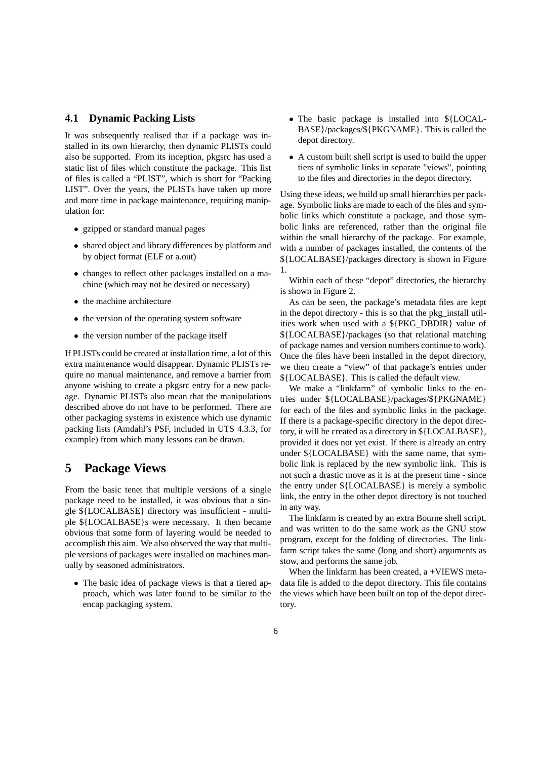#### **4.1 Dynamic Packing Lists**

It was subsequently realised that if a package was installed in its own hierarchy, then dynamic PLISTs could also be supported. From its inception, pkgsrc has used a static list of files which constitute the package. This list of files is called a "PLIST", which is short for "Packing LIST". Over the years, the PLISTs have taken up more and more time in package maintenance, requiring manipulation for:

- gzipped or standard manual pages
- shared object and library differences by platform and by object format (ELF or a.out)
- changes to reflect other packages installed on a machine (which may not be desired or necessary)
- the machine architecture
- the version of the operating system software
- the version number of the package itself

If PLISTs could be created at installation time, a lot of this extra maintenance would disappear. Dynamic PLISTs require no manual maintenance, and remove a barrier from anyone wishing to create a pkgsrc entry for a new package. Dynamic PLISTs also mean that the manipulations described above do not have to be performed. There are other packaging systems in existence which use dynamic packing lists (Amdahl's PSF, included in UTS 4.3.3, for example) from which many lessons can be drawn.

### **5 Package Views**

From the basic tenet that multiple versions of a single package need to be installed, it was obvious that a single \${LOCALBASE} directory was insufficient - multiple \${LOCALBASE}s were necessary. It then became obvious that some form of layering would be needed to accomplish this aim. We also observed the way that multiple versions of packages were installed on machines manually by seasoned administrators.

• The basic idea of package views is that a tiered approach, which was later found to be similar to the encap packaging system.

- The basic package is installed into \${LOCAL-BASE}/packages/\${PKGNAME}. This is called the depot directory.
- A custom built shell script is used to build the upper tiers of symbolic links in separate "views", pointing to the files and directories in the depot directory.

Using these ideas, we build up small hierarchies per package. Symbolic links are made to each of the files and symbolic links which constitute a package, and those symbolic links are referenced, rather than the original file within the small hierarchy of the package. For example, with a number of packages installed, the contents of the \${LOCALBASE}/packages directory is shown in Figure 1.

Within each of these "depot" directories, the hierarchy is shown in Figure 2.

As can be seen, the package's metadata files are kept in the depot directory - this is so that the pkg\_install utilities work when used with a \${PKG\_DBDIR} value of \${LOCALBASE}/packages (so that relational matching of package names and version numbers continue to work). Once the files have been installed in the depot directory, we then create a "view" of that package's entries under \${LOCALBASE}. This is called the default view.

We make a "linkfarm" of symbolic links to the entries under \${LOCALBASE}/packages/\${PKGNAME} for each of the files and symbolic links in the package. If there is a package-specific directory in the depot directory, it will be created as a directory in \${LOCALBASE}, provided it does not yet exist. If there is already an entry under \${LOCALBASE} with the same name, that symbolic link is replaced by the new symbolic link. This is not such a drastic move as it is at the present time - since the entry under \${LOCALBASE} is merely a symbolic link, the entry in the other depot directory is not touched in any way.

The linkfarm is created by an extra Bourne shell script, and was written to do the same work as the GNU stow program, except for the folding of directories. The linkfarm script takes the same (long and short) arguments as stow, and performs the same job.

When the linkfarm has been created, a +VIEWS metadata file is added to the depot directory. This file contains the views which have been built on top of the depot directory.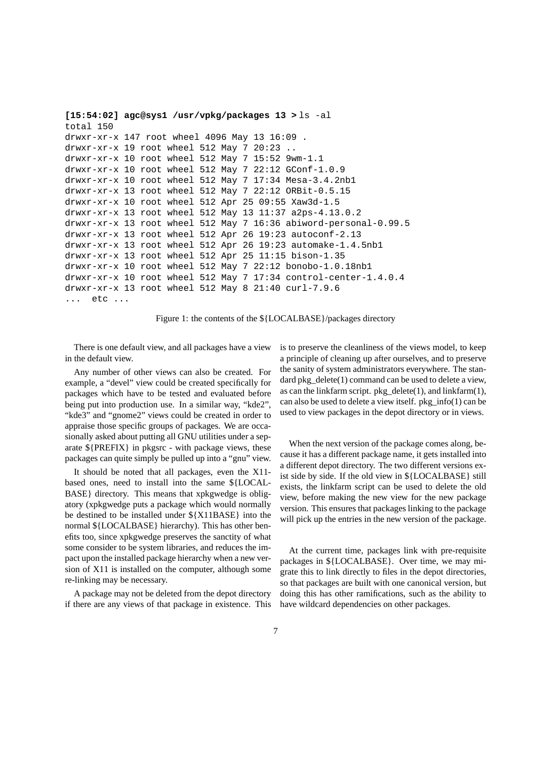```
[15:54:02] agc@sys1 /usr/vpkg/packages 13 > ls -al
total 150
drwxr-xr-x 147 root wheel 4096 May 13 16:09 .
drwxr-xr-x 19 root wheel 512 May 7 20:23 ..
drwxr-xr-x 10 root wheel 512 May 7 15:52 9wm-1.1
drwxr-xr-x 10 root wheel 512 May 7 22:12 GConf-1.0.9
drwxr-xr-x 10 root wheel 512 May 7 17:34 Mesa-3.4.2nb1
drwxr-xr-x 13 root wheel 512 May 7 22:12 ORBit-0.5.15
drwxr-xr-x 10 root wheel 512 Apr 25 09:55 Xaw3d-1.5
drwxr-xr-x 13 root wheel 512 May 13 11:37 a2ps-4.13.0.2
drwxr-xr-x 13 root wheel 512 May 7 16:36 abiword-personal-0.99.5
drwxr-xr-x 13 root wheel 512 Apr 26 19:23 autoconf-2.13
drwxr-xr-x 13 root wheel 512 Apr 26 19:23 automake-1.4.5nb1
drwxr-xr-x 13 root wheel 512 Apr 25 11:15 bison-1.35
drwxr-xr-x 10 root wheel 512 May 7 22:12 bonobo-1.0.18nb1
drwxr-xr-x 10 root wheel 512 May 7 17:34 control-center-1.4.0.4
drwxr-xr-x 13 root wheel 512 May 8 21:40 curl-7.9.6
... etc ...
```
Figure 1: the contents of the \${LOCALBASE}/packages directory

There is one default view, and all packages have a view in the default view.

Any number of other views can also be created. For example, a "devel" view could be created specifically for packages which have to be tested and evaluated before being put into production use. In a similar way, "kde2", "kde3" and "gnome2" views could be created in order to appraise those specific groups of packages. We are occasionally asked about putting all GNU utilities under a separate \${PREFIX} in pkgsrc - with package views, these packages can quite simply be pulled up into a "gnu" view.

It should be noted that all packages, even the X11 based ones, need to install into the same \${LOCAL-BASE} directory. This means that xpkgwedge is obligatory (xpkgwedge puts a package which would normally be destined to be installed under \${X11BASE} into the normal \${LOCALBASE} hierarchy). This has other benefits too, since xpkgwedge preserves the sanctity of what some consider to be system libraries, and reduces the impact upon the installed package hierarchy when a new version of X11 is installed on the computer, although some re-linking may be necessary.

A package may not be deleted from the depot directory if there are any views of that package in existence. This is to preserve the cleanliness of the views model, to keep a principle of cleaning up after ourselves, and to preserve the sanity of system administrators everywhere. The standard pkg\_delete(1) command can be used to delete a view, as can the linkfarm script. pkg\_delete(1), and linkfarm(1), can also be used to delete a view itself. pkg\_info(1) can be used to view packages in the depot directory or in views.

When the next version of the package comes along, because it has a different package name, it gets installed into a different depot directory. The two different versions exist side by side. If the old view in \${LOCALBASE} still exists, the linkfarm script can be used to delete the old view, before making the new view for the new package version. This ensures that packages linking to the package will pick up the entries in the new version of the package.

At the current time, packages link with pre-requisite packages in \${LOCALBASE}. Over time, we may migrate this to link directly to files in the depot directories, so that packages are built with one canonical version, but doing this has other ramifications, such as the ability to have wildcard dependencies on other packages.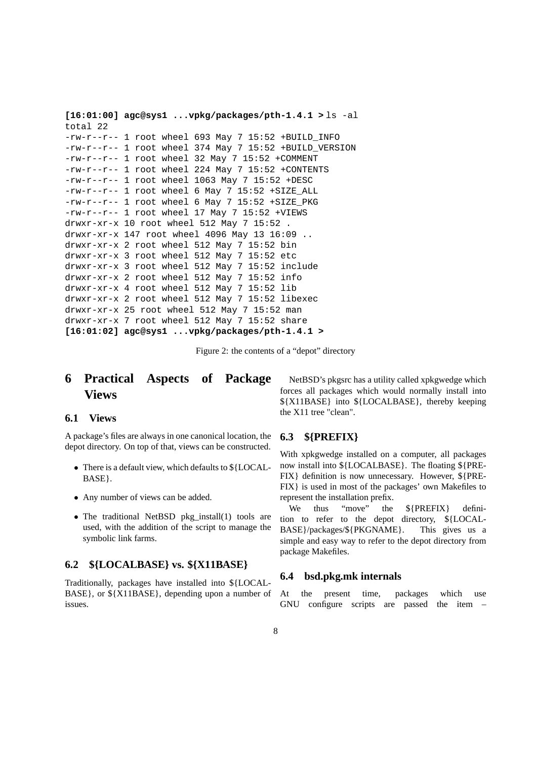```
[16:01:00] agc@sys1 ...vpkg/packages/pth-1.4.1 > ls -al
total 22
-rw-r--r-- 1 root wheel 693 May 7 15:52 +BUILD_INFO
-rw-r--r-- 1 root wheel 374 May 7 15:52 +BUILD_VERSION
-rw-r--1 root wheel 32 May 7 15:52 +COMMENT
-rw-r--r-- 1 root wheel 224 May 7 15:52 +CONTENTS
-rw-r--r-- 1 root wheel 1063 May 7 15:52 +DESC
-rw-r--r-- 1 root wheel 6 May 7 15:52 +SIZE_ALL
-rw-r--r-- 1 root wheel 6 May 7 15:52 +SIZE_PKG
-rw-r--r-- 1 root wheel 17 May 7 15:52 +VIEWS
drwxr-xr-x 10 root wheel 512 May 7 15:52 .
drwxr-xr-x 147 root wheel 4096 May 13 16:09 ..
drwxr-xr-x 2 root wheel 512 May 7 15:52 bin
drwxr-xr-x 3 root wheel 512 May 7 15:52 etc
drwxr-xr-x 3 root wheel 512 May 7 15:52 include
drwxr-xr-x 2 root wheel 512 May 7 15:52 info
drwxr-xr-x 4 root wheel 512 May 7 15:52 lib
drwxr-xr-x 2 root wheel 512 May 7 15:52 libexec
drwxr-xr-x 25 root wheel 512 May 7 15:52 man
drwxr-xr-x 7 root wheel 512 May 7 15:52 share
[16:01:02] agc@sys1 ...vpkg/packages/pth-1.4.1 >
```
Figure 2: the contents of a "depot" directory

# **6 Practical Aspects of Package Views**

#### **6.1 Views**

A package's files are always in one canonical location, the depot directory. On top of that, views can be constructed.

- There is a default view, which defaults to \${LOCAL-BASE}.
- Any number of views can be added.
- The traditional NetBSD pkg\_install(1) tools are used, with the addition of the script to manage the symbolic link farms.

### **6.2 \${LOCALBASE} vs. \${X11BASE}**

Traditionally, packages have installed into \${LOCAL-BASE}, or \${X11BASE}, depending upon a number of issues.

NetBSD's pkgsrc has a utility called xpkgwedge which forces all packages which would normally install into \${X11BASE} into \${LOCALBASE}, thereby keeping the X11 tree "clean".

#### **6.3 \${PREFIX}**

With xpkgwedge installed on a computer, all packages now install into \${LOCALBASE}. The floating \${PRE-FIX} definition is now unnecessary. However, \${PRE-FIX} is used in most of the packages' own Makefiles to represent the installation prefix.

We thus "move" the \${PREFIX} definition to refer to the depot directory, \${LOCAL-BASE}/packages/\${PKGNAME}. This gives us a simple and easy way to refer to the depot directory from package Makefiles.

#### **6.4 bsd.pkg.mk internals**

At the present time, packages which use GNU configure scripts are passed the item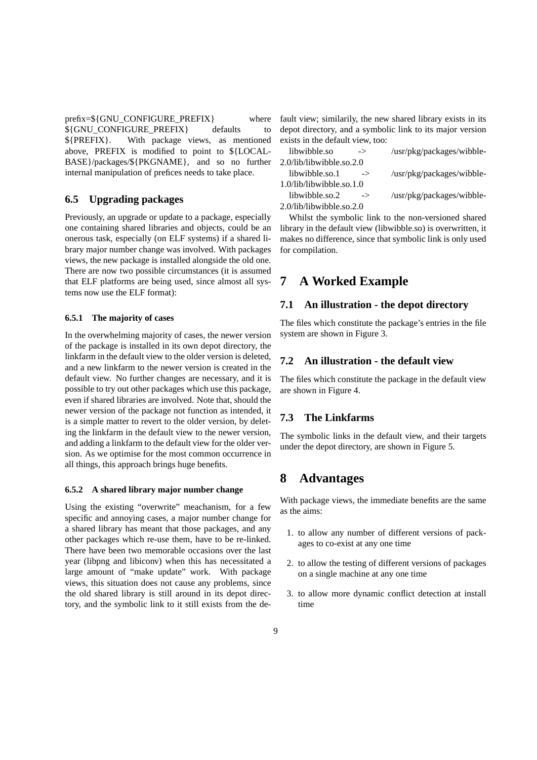$prefix = \frac{S}{GNU}$  CONFIGURE PREFIX where \${GNU\_CONFIGURE\_PREFIX} defaults to \${PREFIX}. With package views, as mentioned above, PREFIX is modified to point to \${LOCAL-BASE}/packages/\${PKGNAME}, and so no further internal manipulation of prefices needs to take place.

### **6.5 Upgrading packages**

Previously, an upgrade or update to a package, especially one containing shared libraries and objects, could be an onerous task, especially (on ELF systems) if a shared library major number change was involved. With packages views, the new package is installed alongside the old one. There are now two possible circumstances (it is assumed that ELF platforms are being used, since almost all systems now use the ELF format):

#### **6.5.1 The majority of cases**

In the overwhelming majority of cases, the newer version of the package is installed in its own depot directory, the linkfarm in the default view to the older version is deleted, and a new linkfarm to the newer version is created in the default view. No further changes are necessary, and it is possible to try out other packages which use this package, even if shared libraries are involved. Note that, should the newer version of the package not function as intended, it is a simple matter to revert to the older version, by deleting the linkfarm in the default view to the newer version, and adding a linkfarm to the default view for the older version. As we optimise for the most common occurrence in all things, this approach brings huge benefits.

#### **6.5.2 A shared library major number change**

Using the existing "overwrite" meachanism, for a few specific and annoying cases, a major number change for a shared library has meant that those packages, and any other packages which re-use them, have to be re-linked. There have been two memorable occasions over the last year (libpng and libiconv) when this has necessitated a large amount of "make update" work. With package views, this situation does not cause any problems, since the old shared library is still around in its depot directory, and the symbolic link to it still exists from the default view; similarily, the new shared library exists in its depot directory, and a symbolic link to its major version exists in the default view, too:

| libwibble.so                | $\rightarrow$ | /usr/pkg/packages/wibble- |
|-----------------------------|---------------|---------------------------|
| 2.0/lib/libwibble.so.2.0    |               |                           |
| libwibble.so.1              | $\rightarrow$ | /usr/pkg/packages/wibble- |
| $1.0$ /lib/libwibble.so.1.0 |               |                           |
| libwibble.so.2              | $\rightarrow$ | /usr/pkg/packages/wibble- |
| 2.0/lib/libwibble.so.2.0    |               |                           |

Whilst the symbolic link to the non-versioned shared library in the default view (libwibble.so) is overwritten, it makes no difference, since that symbolic link is only used for compilation.

### **7 A Worked Example**

### **7.1 An illustration - the depot directory**

The files which constitute the package's entries in the file system are shown in Figure 3.

### **7.2 An illustration - the default view**

The files which constitute the package in the default view are shown in Figure 4.

### **7.3 The Linkfarms**

The symbolic links in the default view, and their targets under the depot directory, are shown in Figure 5.

# **8 Advantages**

With package views, the immediate benefits are the same as the aims:

- 1. to allow any number of different versions of packages to co-exist at any one time
- 2. to allow the testing of different versions of packages on a single machine at any one time
- 3. to allow more dynamic conflict detection at install time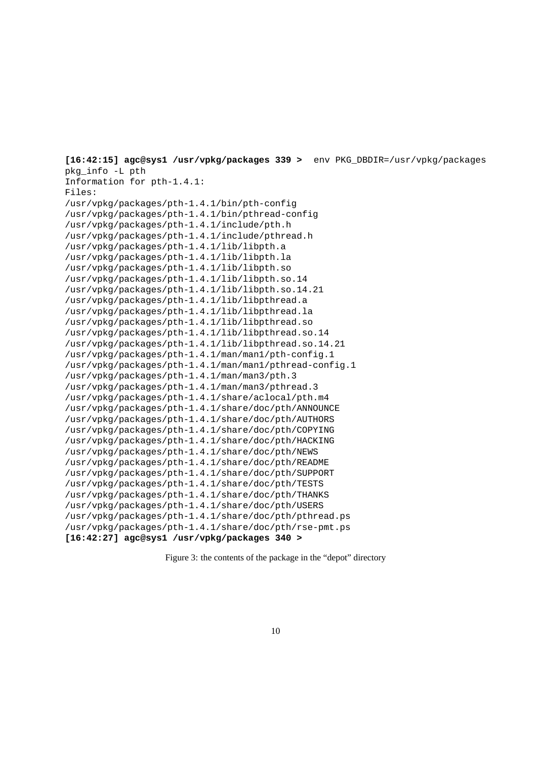**[16:42:15] agc@sys1 /usr/vpkg/packages 339 >** env PKG\_DBDIR=/usr/vpkg/packages pkg\_info -L pth Information for pth-1.4.1: Files: /usr/vpkg/packages/pth-1.4.1/bin/pth-config /usr/vpkg/packages/pth-1.4.1/bin/pthread-config /usr/vpkg/packages/pth-1.4.1/include/pth.h /usr/vpkg/packages/pth-1.4.1/include/pthread.h /usr/vpkg/packages/pth-1.4.1/lib/libpth.a /usr/vpkg/packages/pth-1.4.1/lib/libpth.la /usr/vpkg/packages/pth-1.4.1/lib/libpth.so /usr/vpkg/packages/pth-1.4.1/lib/libpth.so.14 /usr/vpkg/packages/pth-1.4.1/lib/libpth.so.14.21 /usr/vpkg/packages/pth-1.4.1/lib/libpthread.a /usr/vpkg/packages/pth-1.4.1/lib/libpthread.la /usr/vpkg/packages/pth-1.4.1/lib/libpthread.so /usr/vpkg/packages/pth-1.4.1/lib/libpthread.so.14 /usr/vpkg/packages/pth-1.4.1/lib/libpthread.so.14.21 /usr/vpkg/packages/pth-1.4.1/man/man1/pth-config.1 /usr/vpkg/packages/pth-1.4.1/man/man1/pthread-config.1 /usr/vpkg/packages/pth-1.4.1/man/man3/pth.3 /usr/vpkg/packages/pth-1.4.1/man/man3/pthread.3 /usr/vpkg/packages/pth-1.4.1/share/aclocal/pth.m4 /usr/vpkg/packages/pth-1.4.1/share/doc/pth/ANNOUNCE /usr/vpkg/packages/pth-1.4.1/share/doc/pth/AUTHORS /usr/vpkg/packages/pth-1.4.1/share/doc/pth/COPYING /usr/vpkg/packages/pth-1.4.1/share/doc/pth/HACKING /usr/vpkg/packages/pth-1.4.1/share/doc/pth/NEWS /usr/vpkg/packages/pth-1.4.1/share/doc/pth/README /usr/vpkg/packages/pth-1.4.1/share/doc/pth/SUPPORT /usr/vpkg/packages/pth-1.4.1/share/doc/pth/TESTS /usr/vpkg/packages/pth-1.4.1/share/doc/pth/THANKS /usr/vpkg/packages/pth-1.4.1/share/doc/pth/USERS /usr/vpkg/packages/pth-1.4.1/share/doc/pth/pthread.ps /usr/vpkg/packages/pth-1.4.1/share/doc/pth/rse-pmt.ps **[16:42:27] agc@sys1 /usr/vpkg/packages 340 >**

Figure 3: the contents of the package in the "depot" directory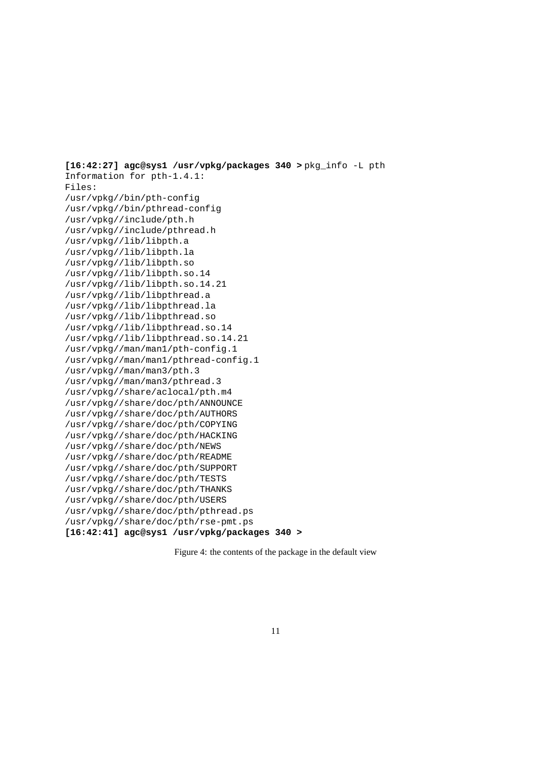**[16:42:27] agc@sys1 /usr/vpkg/packages 340 >** pkg\_info -L pth Information for pth-1.4.1: Files: /usr/vpkg//bin/pth-config /usr/vpkg//bin/pthread-config /usr/vpkg//include/pth.h /usr/vpkg//include/pthread.h /usr/vpkg//lib/libpth.a /usr/vpkg//lib/libpth.la /usr/vpkg//lib/libpth.so /usr/vpkg//lib/libpth.so.14 /usr/vpkg//lib/libpth.so.14.21 /usr/vpkg//lib/libpthread.a /usr/vpkg//lib/libpthread.la /usr/vpkg//lib/libpthread.so /usr/vpkg//lib/libpthread.so.14 /usr/vpkg//lib/libpthread.so.14.21 /usr/vpkg//man/man1/pth-config.1 /usr/vpkg//man/man1/pthread-config.1 /usr/vpkg//man/man3/pth.3 /usr/vpkg//man/man3/pthread.3 /usr/vpkg//share/aclocal/pth.m4 /usr/vpkg//share/doc/pth/ANNOUNCE /usr/vpkg//share/doc/pth/AUTHORS /usr/vpkg//share/doc/pth/COPYING /usr/vpkg//share/doc/pth/HACKING /usr/vpkg//share/doc/pth/NEWS /usr/vpkg//share/doc/pth/README /usr/vpkg//share/doc/pth/SUPPORT /usr/vpkg//share/doc/pth/TESTS /usr/vpkg//share/doc/pth/THANKS /usr/vpkg//share/doc/pth/USERS /usr/vpkg//share/doc/pth/pthread.ps /usr/vpkg//share/doc/pth/rse-pmt.ps **[16:42:41] agc@sys1 /usr/vpkg/packages 340 >**

Figure 4: the contents of the package in the default view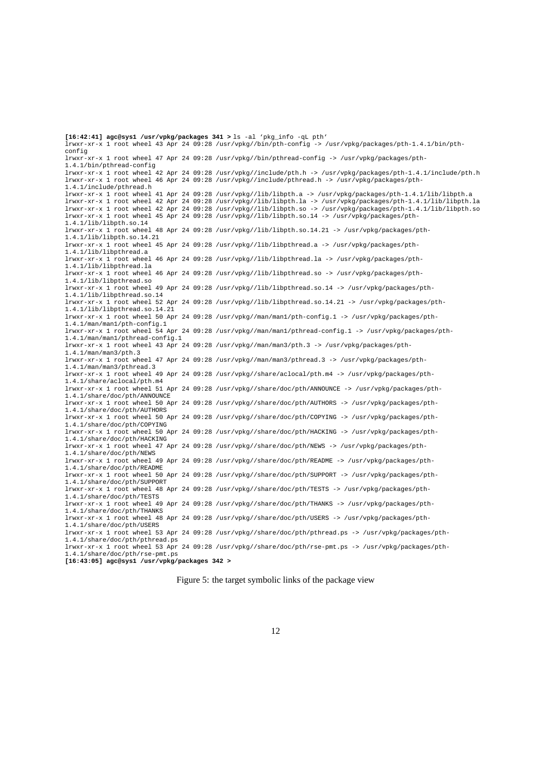**[16:42:41] agc@sys1 /usr/vpkg/packages 341 >** ls -al 'pkg\_info -qL pth' lrwxr-xr-x 1 root wheel 43 Apr 24 09:28 /usr/vpkg//bin/pth-config -> /usr/vpkg/packages/pth-1.4.1/bin/pthconfig lrwxr-xr-x 1 root wheel 47 Apr 24 09:28 /usr/vpkg//bin/pthread-config -> /usr/vpkg/packages/pth-1.4.1/bin/pthread-config lrwxr-xr-x 1 root wheel 42 Apr 24 09:28 /usr/vpkg//include/pth.h -> /usr/vpkg/packages/pth-1.4.1/include/pth.h lrwxr-xr-x 1 root wheel 46 Apr 24 09:28 /usr/vpkg//include/pthread.h -> /usr/vpkg/packages/pth-1.4.1/include/pthread.h lrwxr-xr-x 1 root wheel 41 Apr 24 09:28 /usr/vpkg//lib/libpth.a -> /usr/vpkg/packages/pth-1.4.1/lib/libpth.a lrwxr-xr-x 1 root wheel 42 Apr 24 09:28 /usr/vpkg//lib/libpth.la -> /usr/vpkg/packages/pth-1.4.1/lib/libpth.la lrwxr-xr-x 1 root wheel 42 Apr 24 09:28 /usr/vpkg//lib/libpth.so -> /usr/vpkg/packages/pth-1.4.1/lib/libpth.so<br>lrwxr-xr-x 1 root wheel 45 Apr 24 09:28 /usr/vpkg//lib/libpth.so.14 -> /usr/vpkg/packages/pth-1.4.1/lib/libpth.so.14 lrwxr-xr-x 1 root wheel 48 Apr 24 09:28 /usr/vpkg//lib/libpth.so.14.21 -> /usr/vpkg/packages/pth-1.4.1/lib/libpth.so.14.21 lrwxr-xr-x 1 root wheel 45 Apr 24 09:28 /usr/vpkg//lib/libpthread.a -> /usr/vpkg/packages/pth-1.4.1/lib/libpthread.a lrwxr-xr-x 1 root wheel 46 Apr 24 09:28 /usr/vpkg//lib/libpthread.la -> /usr/vpkg/packages/pth-1.4.1/lib/libpthread.la lrwxr-xr-x 1 root wheel 46 Apr 24 09:28 /usr/vpkg//lib/libpthread.so -> /usr/vpkg/packages/pth-1.4.1/lib/libpthread.so lrwxr-xr-x 1 root wheel 49 Apr 24 09:28 /usr/vpkg//lib/libpthread.so.14 -> /usr/vpkg/packages/pth-1.4.1/lib/libpthread.so.14 lrwxr-xr-x 1 root wheel 52 Apr 24 09:28 /usr/vpkg//lib/libpthread.so.14.21 -> /usr/vpkg/packages/pth-1.4.1/lib/libpthread.so.14.21 lrwxr-xr-x 1 root wheel 50 Apr 24 09:28 /usr/vpkg//man/man1/pth-config.1 -> /usr/vpkg/packages/pth-1.4.1/man/man1/pth-config.1 lrwxr-xr-x 1 root wheel 54 Apr 24 09:28 /usr/vpkg//man/man1/pthread-config.1 -> /usr/vpkg/packages/pth-1.4.1/man/man1/pthread-config.1 lrwxr-xr-x 1 root wheel 43 Apr 24 09:28 /usr/vpkg//man/man3/pth.3 -> /usr/vpkg/packages/pth-1.4.1/man/man3/pth.3 lrwxr-xr-x 1 root wheel 47 Apr 24 09:28 /usr/vpkg//man/man3/pthread.3 -> /usr/vpkg/packages/pth-1.4.1/man/man3/pthread.3 lrwxr-xr-x 1 root wheel 49 Apr 24 09:28 /usr/vpkg//share/aclocal/pth.m4 -> /usr/vpkg/packages/pth-1.4.1/share/aclocal/pth.m4 lrwxr-xr-x 1 root wheel 51 Apr 24 09:28 /usr/vpkg//share/doc/pth/ANNOUNCE -> /usr/vpkg/packages/pth-1.4.1/share/doc/pth/ANNOUNCE lrwxr-xr-x 1 root wheel 50 Apr 24 09:28 /usr/vpkg//share/doc/pth/AUTHORS -> /usr/vpkg/packages/pth-1.4.1/share/doc/pth/AUTHORS lrwxr-xr-x 1 root wheel 50 Apr 24 09:28 /usr/vpkg//share/doc/pth/COPYING -> /usr/vpkg/packages/pth-1.4.1/share/doc/pth/COPYING lrwxr-xr-x 1 root wheel 50 Apr 24 09:28 /usr/vpkg//share/doc/pth/HACKING -> /usr/vpkg/packages/pth-1.4.1/share/doc/pth/HACKING lrwxr-xr-x 1 root wheel 47 Apr 24 09:28 /usr/vpkg//share/doc/pth/NEWS -> /usr/vpkg/packages/pth-1.4.1/share/doc/pth/NEWS lrwxr-xr-x 1 root wheel 49 Apr 24 09:28 /usr/vpkg//share/doc/pth/README -> /usr/vpkg/packages/pth-1.4.1/share/doc/pth/README lrwxr-xr-x 1 root wheel 50 Apr 24 09:28 /usr/vpkg//share/doc/pth/SUPPORT -> /usr/vpkg/packages/pth-1.4.1/share/doc/pth/SUPPORT lrwxr-xr-x 1 root wheel 48 Apr 24 09:28 /usr/vpkg//share/doc/pth/TESTS -> /usr/vpkg/packages/pth-1.4.1/share/doc/pth/TESTS lrwxr-xr-x 1 root wheel 49 Apr 24 09:28 /usr/vpkg//share/doc/pth/THANKS -> /usr/vpkg/packages/pth-1.4.1/share/doc/pth/THANKS lrwxr-xr-x 1 root wheel 48 Apr 24 09:28 /usr/vpkg//share/doc/pth/USERS -> /usr/vpkg/packages/pth-1.4.1/share/doc/pth/USERS lrwxr-xr-x 1 root wheel 53 Apr 24 09:28 /usr/vpkg//share/doc/pth/pthread.ps -> /usr/vpkg/packages/pth-1.4.1/share/doc/pth/pthread.ps lrwxr-xr-x 1 root wheel 53 Apr 24 09:28 /usr/vpkg//share/doc/pth/rse-pmt.ps -> /usr/vpkg/packages/pth-1.4.1/share/doc/pth/rse-pmt.ps **[16:43:05] agc@sys1 /usr/vpkg/packages 342 >**

Figure 5: the target symbolic links of the package view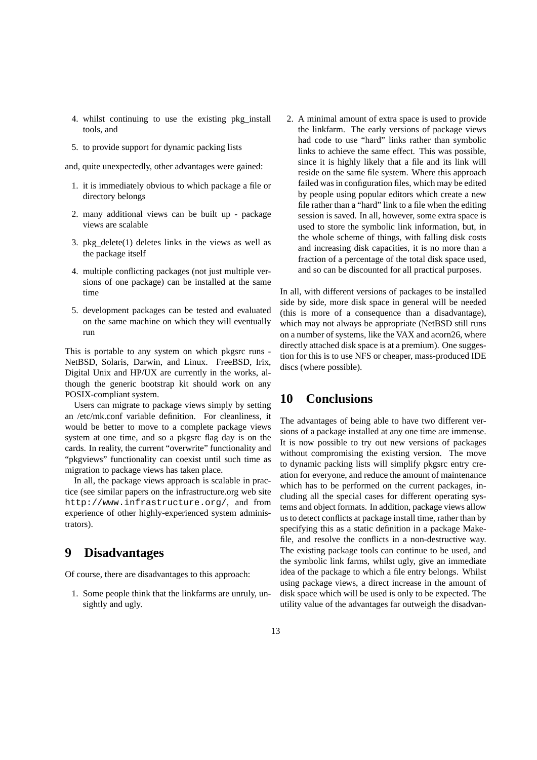- 4. whilst continuing to use the existing pkg\_install tools, and
- 5. to provide support for dynamic packing lists

and, quite unexpectedly, other advantages were gained:

- 1. it is immediately obvious to which package a file or directory belongs
- 2. many additional views can be built up package views are scalable
- 3. pkg delete $(1)$  deletes links in the views as well as the package itself
- 4. multiple conflicting packages (not just multiple versions of one package) can be installed at the same time
- 5. development packages can be tested and evaluated on the same machine on which they will eventually run

This is portable to any system on which pkgsrc runs - NetBSD, Solaris, Darwin, and Linux. FreeBSD, Irix, Digital Unix and HP/UX are currently in the works, although the generic bootstrap kit should work on any POSIX-compliant system.

Users can migrate to package views simply by setting an /etc/mk.conf variable definition. For cleanliness, it would be better to move to a complete package views system at one time, and so a pkgsrc flag day is on the cards. In reality, the current "overwrite" functionality and "pkgviews" functionality can coexist until such time as migration to package views has taken place.

In all, the package views approach is scalable in practice (see similar papers on the infrastructure.org web site http://www.infrastructure.org/, and from experience of other highly-experienced system administrators).

# **9 Disadvantages**

Of course, there are disadvantages to this approach:

1. Some people think that the linkfarms are unruly, unsightly and ugly.

2. A minimal amount of extra space is used to provide the linkfarm. The early versions of package views had code to use "hard" links rather than symbolic links to achieve the same effect. This was possible, since it is highly likely that a file and its link will reside on the same file system. Where this approach failed was in configuration files, which may be edited by people using popular editors which create a new file rather than a "hard" link to a file when the editing session is saved. In all, however, some extra space is used to store the symbolic link information, but, in the whole scheme of things, with falling disk costs and increasing disk capacities, it is no more than a fraction of a percentage of the total disk space used, and so can be discounted for all practical purposes.

In all, with different versions of packages to be installed side by side, more disk space in general will be needed (this is more of a consequence than a disadvantage), which may not always be appropriate (NetBSD still runs on a number of systems, like the VAX and acorn26, where directly attached disk space is at a premium). One suggestion for this is to use NFS or cheaper, mass-produced IDE discs (where possible).

# **10 Conclusions**

The advantages of being able to have two different versions of a package installed at any one time are immense. It is now possible to try out new versions of packages without compromising the existing version. The move to dynamic packing lists will simplify pkgsrc entry creation for everyone, and reduce the amount of maintenance which has to be performed on the current packages, including all the special cases for different operating systems and object formats. In addition, package views allow us to detect conflicts at package install time, rather than by specifying this as a static definition in a package Makefile, and resolve the conflicts in a non-destructive way. The existing package tools can continue to be used, and the symbolic link farms, whilst ugly, give an immediate idea of the package to which a file entry belongs. Whilst using package views, a direct increase in the amount of disk space which will be used is only to be expected. The utility value of the advantages far outweigh the disadvan